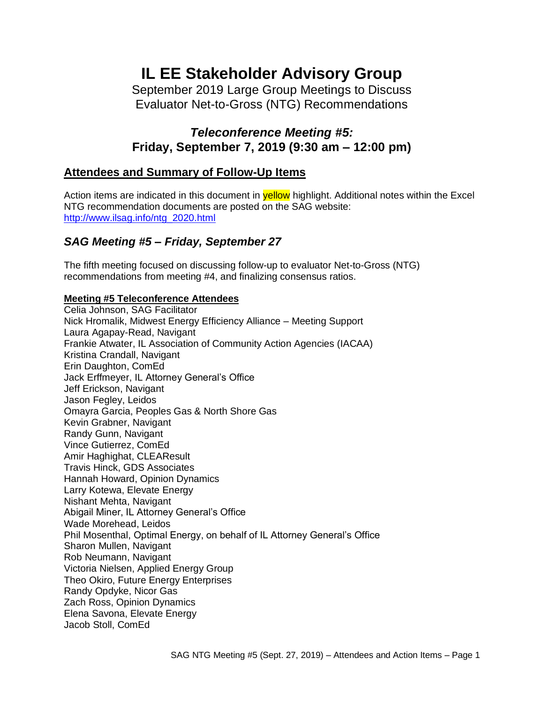# **IL EE Stakeholder Advisory Group**

September 2019 Large Group Meetings to Discuss Evaluator Net-to-Gross (NTG) Recommendations

# *Teleconference Meeting #5:* **Friday, September 7, 2019 (9:30 am – 12:00 pm)**

# **Attendees and Summary of Follow-Up Items**

Action items are indicated in this document in **yellow** highlight. Additional notes within the Excel NTG recommendation documents are posted on the SAG website: [http://www.ilsag.info/ntg\\_2020.html](http://www.ilsag.info/ntg_2020.html)

# *SAG Meeting #5 – Friday, September 27*

The fifth meeting focused on discussing follow-up to evaluator Net-to-Gross (NTG) recommendations from meeting #4, and finalizing consensus ratios.

## **Meeting #5 Teleconference Attendees**

Celia Johnson, SAG Facilitator Nick Hromalik, Midwest Energy Efficiency Alliance – Meeting Support Laura Agapay-Read, Navigant Frankie Atwater, IL Association of Community Action Agencies (IACAA) Kristina Crandall, Navigant Erin Daughton, ComEd Jack Erffmeyer, IL Attorney General's Office Jeff Erickson, Navigant Jason Fegley, Leidos Omayra Garcia, Peoples Gas & North Shore Gas Kevin Grabner, Navigant Randy Gunn, Navigant Vince Gutierrez, ComEd Amir Haghighat, CLEAResult Travis Hinck, GDS Associates Hannah Howard, Opinion Dynamics Larry Kotewa, Elevate Energy Nishant Mehta, Navigant Abigail Miner, IL Attorney General's Office Wade Morehead, Leidos Phil Mosenthal, Optimal Energy, on behalf of IL Attorney General's Office Sharon Mullen, Navigant Rob Neumann, Navigant Victoria Nielsen, Applied Energy Group Theo Okiro, Future Energy Enterprises Randy Opdyke, Nicor Gas Zach Ross, Opinion Dynamics Elena Savona, Elevate Energy Jacob Stoll, ComEd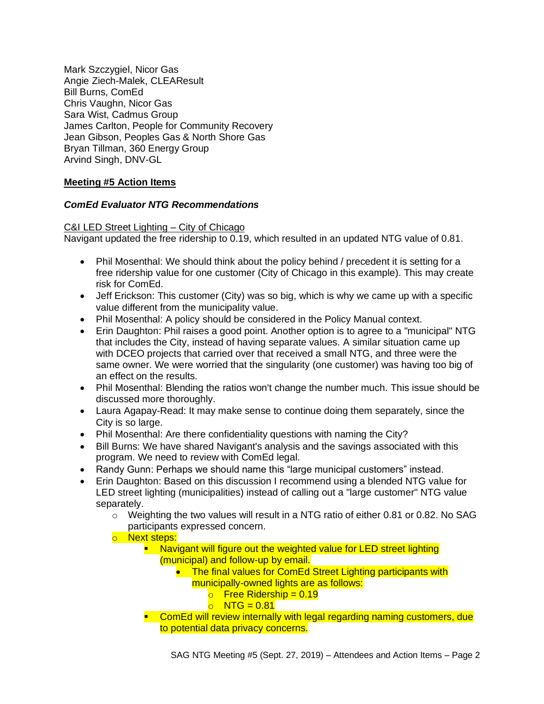Mark Szczygiel, Nicor Gas Angie Ziech-Malek, CLEAResult Bill Burns, ComEd Chris Vaughn, Nicor Gas Sara Wist, Cadmus Group James Carlton, People for Community Recovery Jean Gibson, Peoples Gas & North Shore Gas Bryan Tillman, 360 Energy Group Arvind Singh, DNV-GL

# **Meeting #5 Action Items**

## *ComEd Evaluator NTG Recommendations*

#### C&I LED Street Lighting – City of Chicago

Navigant updated the free ridership to 0.19, which resulted in an updated NTG value of 0.81.

- Phil Mosenthal: We should think about the policy behind / precedent it is setting for a free ridership value for one customer (City of Chicago in this example). This may create risk for ComEd.
- Jeff Erickson: This customer (City) was so big, which is why we came up with a specific value different from the municipality value.
- Phil Mosenthal: A policy should be considered in the Policy Manual context.
- Erin Daughton: Phil raises a good point. Another option is to agree to a "municipal" NTG that includes the City, instead of having separate values. A similar situation came up with DCEO projects that carried over that received a small NTG, and three were the same owner. We were worried that the singularity (one customer) was having too big of an effect on the results.
- Phil Mosenthal: Blending the ratios won't change the number much. This issue should be discussed more thoroughly.
- Laura Agapay-Read: It may make sense to continue doing them separately, since the City is so large.
- Phil Mosenthal: Are there confidentiality questions with naming the City?
- Bill Burns: We have shared Navigant's analysis and the savings associated with this program. We need to review with ComEd legal.
- Randy Gunn: Perhaps we should name this "large municipal customers" instead.
- Erin Daughton: Based on this discussion I recommend using a blended NTG value for LED street lighting (municipalities) instead of calling out a "large customer" NTG value separately.
	- $\circ$  Weighting the two values will result in a NTG ratio of either 0.81 or 0.82. No SAG participants expressed concern.
	- o Next steps:
		- **E** Navigant will figure out the weighted value for LED street lighting (municipal) and follow-up by email.
			- The final values for ComEd Street Lighting participants with municipally-owned lights are as follows:
				- $\circ$  Free Ridership = 0.19
				- $\circ$  NTG = 0.81
		- **EXECOMED Will review internally with legal regarding naming customers, due** to potential data privacy concerns.